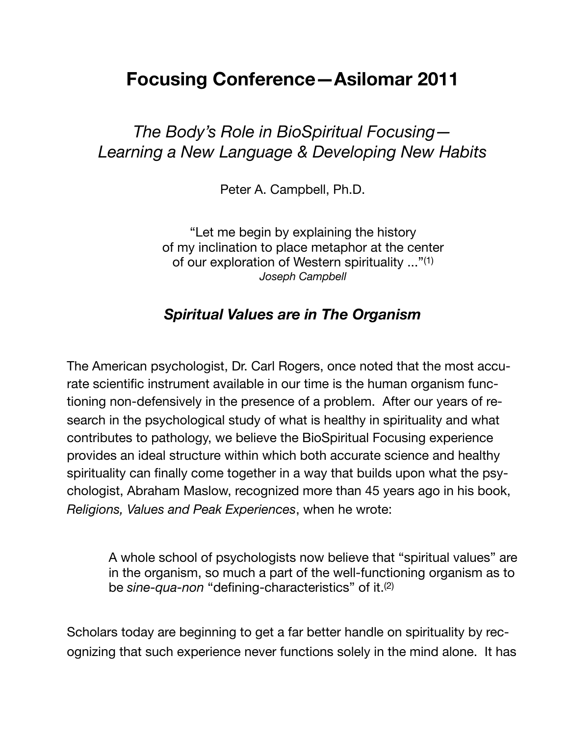# **Focusing Conference—Asilomar 2011**

## *The Body's Role in BioSpiritual Focusing— Learning a New Language & Developing New Habits*

Peter A. Campbell, Ph.D.

"Let me begin by explaining the history of my inclination to place metaphor at the center of our exploration of Western spirituality ..."(1) *Joseph Campbell*

#### *Spiritual Values are in The Organism*

The American psychologist, Dr. Carl Rogers, once noted that the most accurate scientific instrument available in our time is the human organism functioning non-defensively in the presence of a problem. After our years of research in the psychological study of what is healthy in spirituality and what contributes to pathology, we believe the BioSpiritual Focusing experience provides an ideal structure within which both accurate science and healthy spirituality can finally come together in a way that builds upon what the psychologist, Abraham Maslow, recognized more than 45 years ago in his book, *Religions, Values and Peak Experiences*, when he wrote:

A whole school of psychologists now believe that "spiritual values" are in the organism, so much a part of the well-functioning organism as to be *sine-qua-non* "defining-characteristics" of it.(2)

Scholars today are beginning to get a far better handle on spirituality by recognizing that such experience never functions solely in the mind alone. It has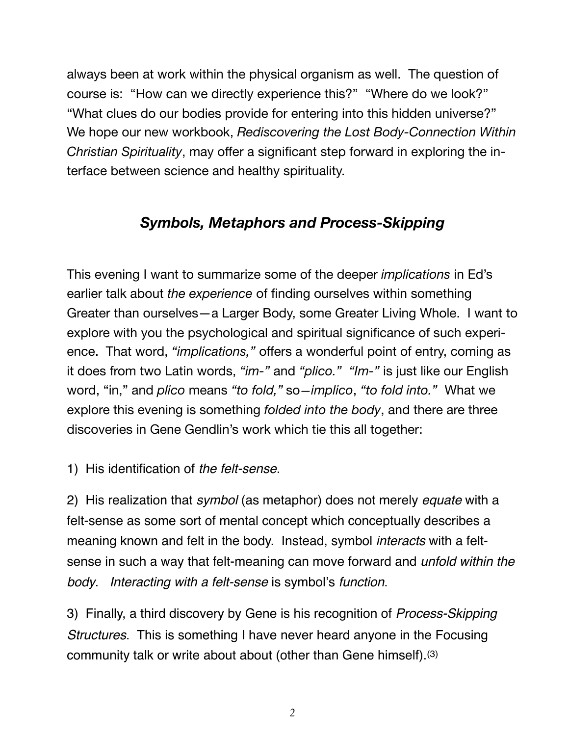always been at work within the physical organism as well. The question of course is: "How can we directly experience this?" "Where do we look?" "What clues do our bodies provide for entering into this hidden universe?" We hope our new workbook, *Rediscovering the Lost Body-Connection Within Christian Spirituality*, may offer a significant step forward in exploring the interface between science and healthy spirituality.

### *Symbols, Metaphors and Process-Skipping*

This evening I want to summarize some of the deeper *implications* in Ed's earlier talk about *the experience* of finding ourselves within something Greater than ourselves—a Larger Body, some Greater Living Whole. I want to explore with you the psychological and spiritual significance of such experience. That word, *"implications,"* offers a wonderful point of entry, coming as it does from two Latin words, *"im-"* and *"plico." "Im-"* is just like our English word, "in," and *plico* means *"to fold,"* so—*implico*, *"to fold into."* What we explore this evening is something *folded into the body*, and there are three discoveries in Gene Gendlin's work which tie this all together:

1) His identification of *the felt-sense*.

2) His realization that *symbol* (as metaphor) does not merely *equate* with a felt-sense as some sort of mental concept which conceptually describes a meaning known and felt in the body. Instead, symbol *interacts* with a feltsense in such a way that felt-meaning can move forward and *unfold within the body*. *Interacting with a felt-sense* is symbol's *function*.

3) Finally, a third discovery by Gene is his recognition of *Process-Skipping Structures*. This is something I have never heard anyone in the Focusing community talk or write about about (other than Gene himself).(3)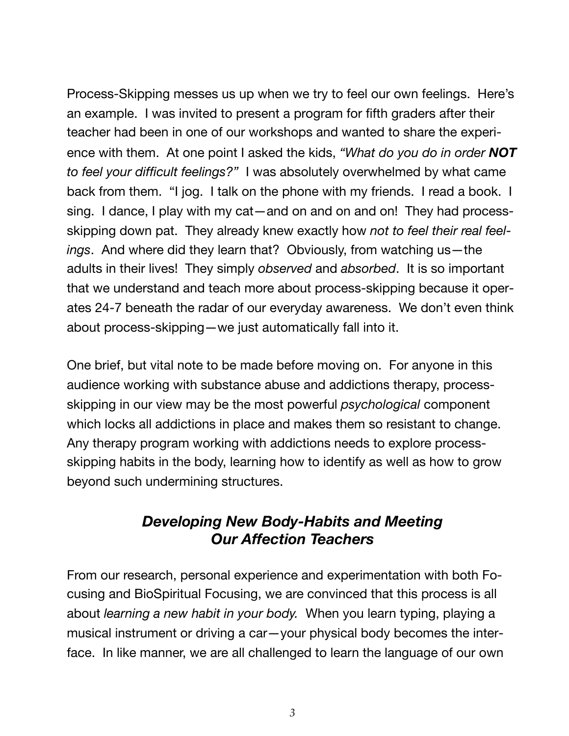Process-Skipping messes us up when we try to feel our own feelings. Here's an example. I was invited to present a program for fifth graders after their teacher had been in one of our workshops and wanted to share the experience with them. At one point I asked the kids, *"What do you do in order NOT to feel your difficult feelings?"* I was absolutely overwhelmed by what came back from them. "I jog. I talk on the phone with my friends. I read a book. I sing. I dance, I play with my cat—and on and on and on! They had processskipping down pat. They already knew exactly how *not to feel their real feelings*. And where did they learn that? Obviously, from watching us—the adults in their lives! They simply *observed* and *absorbed*. It is so important that we understand and teach more about process-skipping because it operates 24-7 beneath the radar of our everyday awareness. We don't even think about process-skipping—we just automatically fall into it.

One brief, but vital note to be made before moving on. For anyone in this audience working with substance abuse and addictions therapy, processskipping in our view may be the most powerful *psychological* component which locks all addictions in place and makes them so resistant to change. Any therapy program working with addictions needs to explore processskipping habits in the body, learning how to identify as well as how to grow beyond such undermining structures.

#### *Developing New Body-Habits and Meeting Our Affection Teachers*

From our research, personal experience and experimentation with both Focusing and BioSpiritual Focusing, we are convinced that this process is all about *learning a new habit in your body.* When you learn typing, playing a musical instrument or driving a car—your physical body becomes the interface. In like manner, we are all challenged to learn the language of our own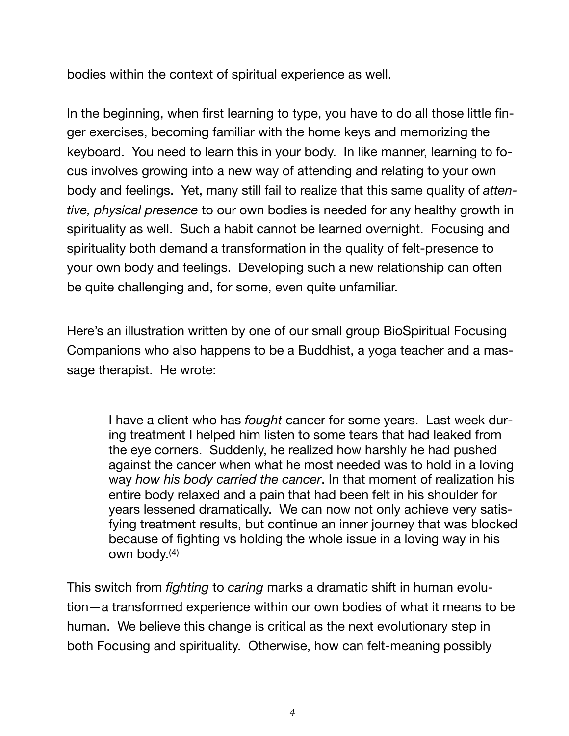bodies within the context of spiritual experience as well.

In the beginning, when first learning to type, you have to do all those little finger exercises, becoming familiar with the home keys and memorizing the keyboard. You need to learn this in your body. In like manner, learning to focus involves growing into a new way of attending and relating to your own body and feelings. Yet, many still fail to realize that this same quality of *attentive, physical presence* to our own bodies is needed for any healthy growth in spirituality as well. Such a habit cannot be learned overnight. Focusing and spirituality both demand a transformation in the quality of felt-presence to your own body and feelings. Developing such a new relationship can often be quite challenging and, for some, even quite unfamiliar.

Here's an illustration written by one of our small group BioSpiritual Focusing Companions who also happens to be a Buddhist, a yoga teacher and a massage therapist. He wrote:

I have a client who has *fought* cancer for some years. Last week during treatment I helped him listen to some tears that had leaked from the eye corners. Suddenly, he realized how harshly he had pushed against the cancer when what he most needed was to hold in a loving way *how his body carried the cancer*. In that moment of realization his entire body relaxed and a pain that had been felt in his shoulder for years lessened dramatically. We can now not only achieve very satisfying treatment results, but continue an inner journey that was blocked because of fighting vs holding the whole issue in a loving way in his own body.(4)

This switch from *fighting* to *caring* marks a dramatic shift in human evolution—a transformed experience within our own bodies of what it means to be human. We believe this change is critical as the next evolutionary step in both Focusing and spirituality. Otherwise, how can felt-meaning possibly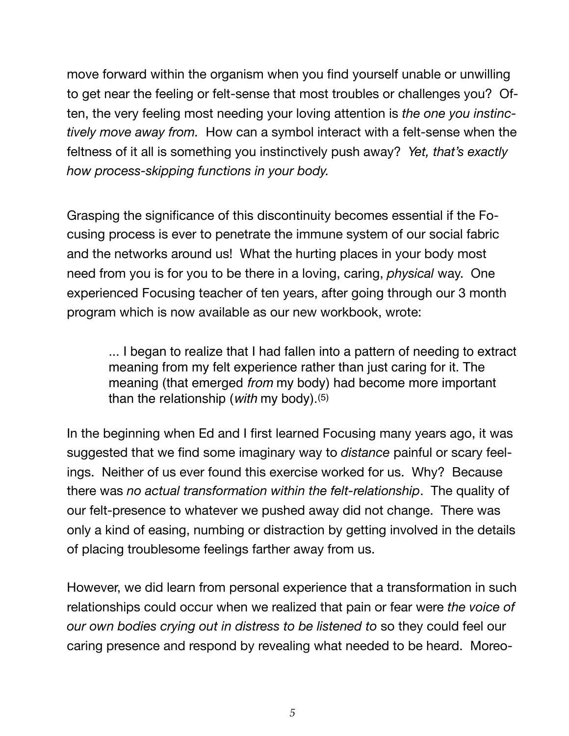move forward within the organism when you find yourself unable or unwilling to get near the feeling or felt-sense that most troubles or challenges you? Often, the very feeling most needing your loving attention is *the one you instinctively move away from.* How can a symbol interact with a felt-sense when the feltness of it all is something you instinctively push away? *Yet, that's exactly how process-skipping functions in your body.*

Grasping the significance of this discontinuity becomes essential if the Focusing process is ever to penetrate the immune system of our social fabric and the networks around us! What the hurting places in your body most need from you is for you to be there in a loving, caring, *physical* way. One experienced Focusing teacher of ten years, after going through our 3 month program which is now available as our new workbook, wrote:

... I began to realize that I had fallen into a pattern of needing to extract meaning from my felt experience rather than just caring for it. The meaning (that emerged *from* my body) had become more important than the relationship (*with* my body).(5)

In the beginning when Ed and I first learned Focusing many years ago, it was suggested that we find some imaginary way to *distance* painful or scary feelings. Neither of us ever found this exercise worked for us. Why? Because there was *no actual transformation within the felt-relationship*. The quality of our felt-presence to whatever we pushed away did not change. There was only a kind of easing, numbing or distraction by getting involved in the details of placing troublesome feelings farther away from us.

However, we did learn from personal experience that a transformation in such relationships could occur when we realized that pain or fear were *the voice of our own bodies crying out in distress to be listened to* so they could feel our caring presence and respond by revealing what needed to be heard. Moreo-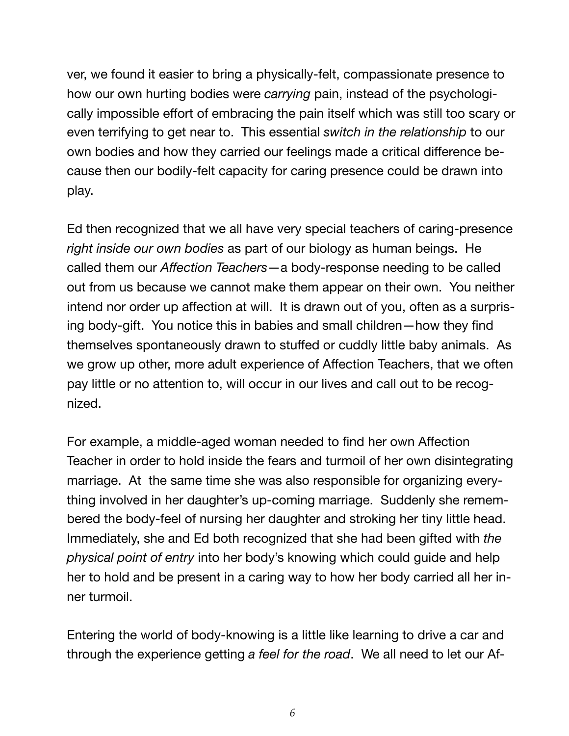ver, we found it easier to bring a physically-felt, compassionate presence to how our own hurting bodies were *carrying* pain, instead of the psychologically impossible effort of embracing the pain itself which was still too scary or even terrifying to get near to. This essential *switch in the relationship* to our own bodies and how they carried our feelings made a critical difference because then our bodily-felt capacity for caring presence could be drawn into play.

Ed then recognized that we all have very special teachers of caring-presence *right inside our own bodies* as part of our biology as human beings. He called them our *Affection Teachers*—a body-response needing to be called out from us because we cannot make them appear on their own. You neither intend nor order up affection at will. It is drawn out of you, often as a surprising body-gift. You notice this in babies and small children—how they find themselves spontaneously drawn to stuffed or cuddly little baby animals. As we grow up other, more adult experience of Affection Teachers, that we often pay little or no attention to, will occur in our lives and call out to be recognized.

For example, a middle-aged woman needed to find her own Affection Teacher in order to hold inside the fears and turmoil of her own disintegrating marriage. At the same time she was also responsible for organizing everything involved in her daughter's up-coming marriage. Suddenly she remembered the body-feel of nursing her daughter and stroking her tiny little head. Immediately, she and Ed both recognized that she had been gifted with *the physical point of entry* into her body's knowing which could guide and help her to hold and be present in a caring way to how her body carried all her inner turmoil.

Entering the world of body-knowing is a little like learning to drive a car and through the experience getting *a feel for the road*. We all need to let our Af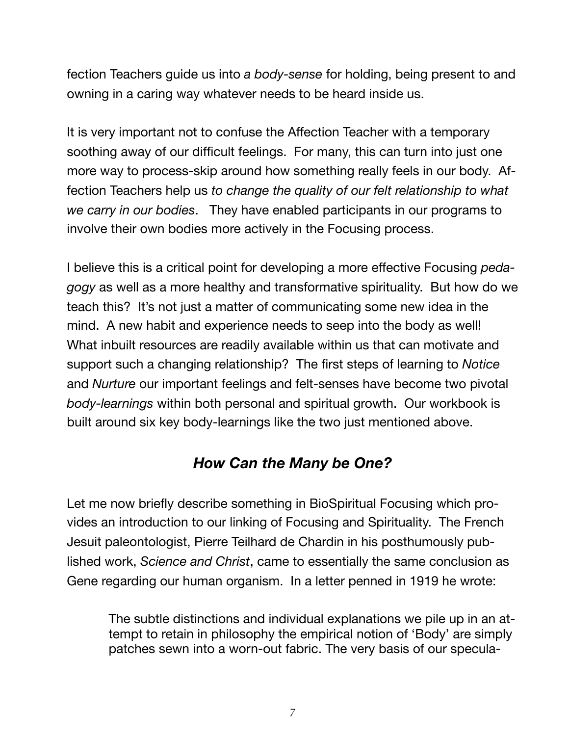fection Teachers guide us into *a body-sense* for holding, being present to and owning in a caring way whatever needs to be heard inside us.

It is very important not to confuse the Affection Teacher with a temporary soothing away of our difficult feelings. For many, this can turn into just one more way to process-skip around how something really feels in our body. Affection Teachers help us *to change the quality of our felt relationship to what we carry in our bodies*. They have enabled participants in our programs to involve their own bodies more actively in the Focusing process.

I believe this is a critical point for developing a more effective Focusing *pedagogy* as well as a more healthy and transformative spirituality. But how do we teach this? It's not just a matter of communicating some new idea in the mind. A new habit and experience needs to seep into the body as well! What inbuilt resources are readily available within us that can motivate and support such a changing relationship? The first steps of learning to *Notice* and *Nurture* our important feelings and felt-senses have become two pivotal *body-learnings* within both personal and spiritual growth. Our workbook is built around six key body-learnings like the two just mentioned above.

#### *How Can the Many be One?*

Let me now briefly describe something in BioSpiritual Focusing which provides an introduction to our linking of Focusing and Spirituality. The French Jesuit paleontologist, Pierre Teilhard de Chardin in his posthumously published work, *Science and Christ*, came to essentially the same conclusion as Gene regarding our human organism. In a letter penned in 1919 he wrote:

The subtle distinctions and individual explanations we pile up in an attempt to retain in philosophy the empirical notion of 'Body' are simply patches sewn into a worn-out fabric. The very basis of our specula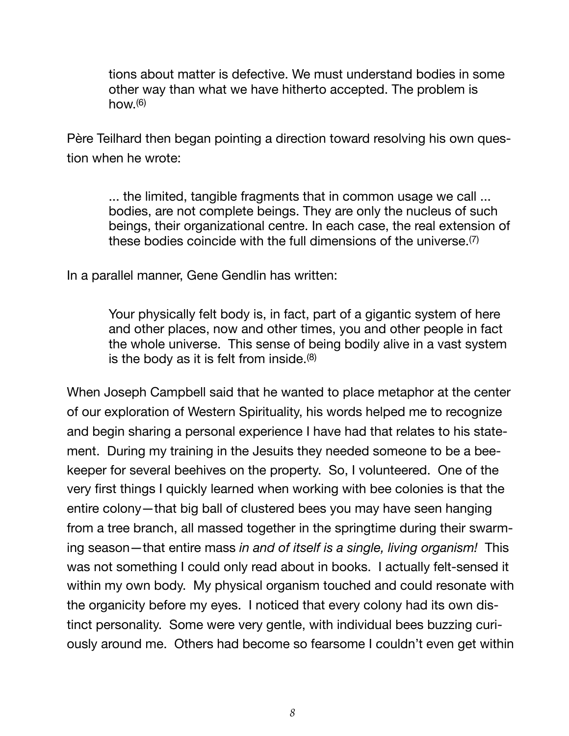tions about matter is defective. We must understand bodies in some other way than what we have hitherto accepted. The problem is  $how<sub>1</sub>(6)$ 

Père Teilhard then began pointing a direction toward resolving his own question when he wrote:

... the limited, tangible fragments that in common usage we call ... bodies, are not complete beings. They are only the nucleus of such beings, their organizational centre. In each case, the real extension of these bodies coincide with the full dimensions of the universe.(7)

In a parallel manner, Gene Gendlin has written:

Your physically felt body is, in fact, part of a gigantic system of here and other places, now and other times, you and other people in fact the whole universe. This sense of being bodily alive in a vast system is the body as it is felt from inside.(8)

When Joseph Campbell said that he wanted to place metaphor at the center of our exploration of Western Spirituality, his words helped me to recognize and begin sharing a personal experience I have had that relates to his statement. During my training in the Jesuits they needed someone to be a beekeeper for several beehives on the property. So, I volunteered. One of the very first things I quickly learned when working with bee colonies is that the entire colony—that big ball of clustered bees you may have seen hanging from a tree branch, all massed together in the springtime during their swarming season—that entire mass *in and of itself is a single, living organism!* This was not something I could only read about in books. I actually felt-sensed it within my own body. My physical organism touched and could resonate with the organicity before my eyes. I noticed that every colony had its own distinct personality. Some were very gentle, with individual bees buzzing curiously around me. Others had become so fearsome I couldn't even get within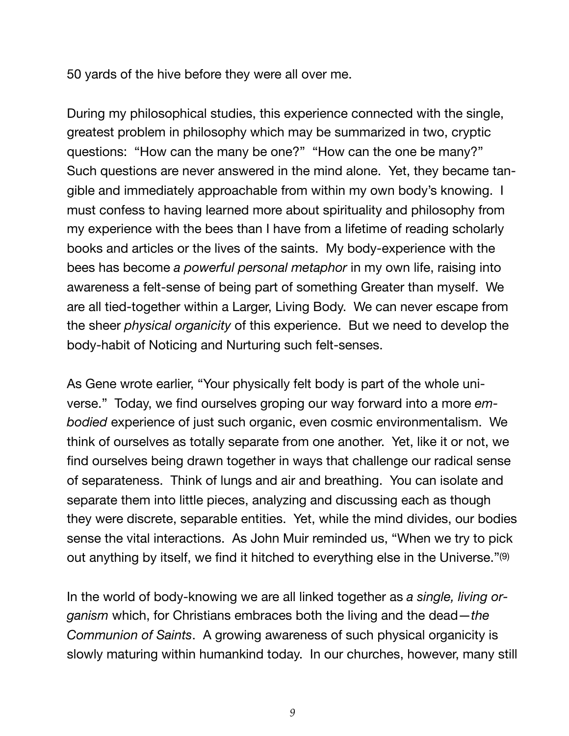50 yards of the hive before they were all over me.

During my philosophical studies, this experience connected with the single, greatest problem in philosophy which may be summarized in two, cryptic questions: "How can the many be one?" "How can the one be many?" Such questions are never answered in the mind alone. Yet, they became tangible and immediately approachable from within my own body's knowing. I must confess to having learned more about spirituality and philosophy from my experience with the bees than I have from a lifetime of reading scholarly books and articles or the lives of the saints. My body-experience with the bees has become *a powerful personal metaphor* in my own life, raising into awareness a felt-sense of being part of something Greater than myself. We are all tied-together within a Larger, Living Body. We can never escape from the sheer *physical organicity* of this experience. But we need to develop the body-habit of Noticing and Nurturing such felt-senses.

As Gene wrote earlier, "Your physically felt body is part of the whole universe." Today, we find ourselves groping our way forward into a more *embodied* experience of just such organic, even cosmic environmentalism. We think of ourselves as totally separate from one another. Yet, like it or not, we find ourselves being drawn together in ways that challenge our radical sense of separateness. Think of lungs and air and breathing. You can isolate and separate them into little pieces, analyzing and discussing each as though they were discrete, separable entities. Yet, while the mind divides, our bodies sense the vital interactions. As John Muir reminded us, "When we try to pick out anything by itself, we find it hitched to everything else in the Universe."(9)

In the world of body-knowing we are all linked together as *a single, living organism* which, for Christians embraces both the living and the dead—*the Communion of Saints*. A growing awareness of such physical organicity is slowly maturing within humankind today. In our churches, however, many still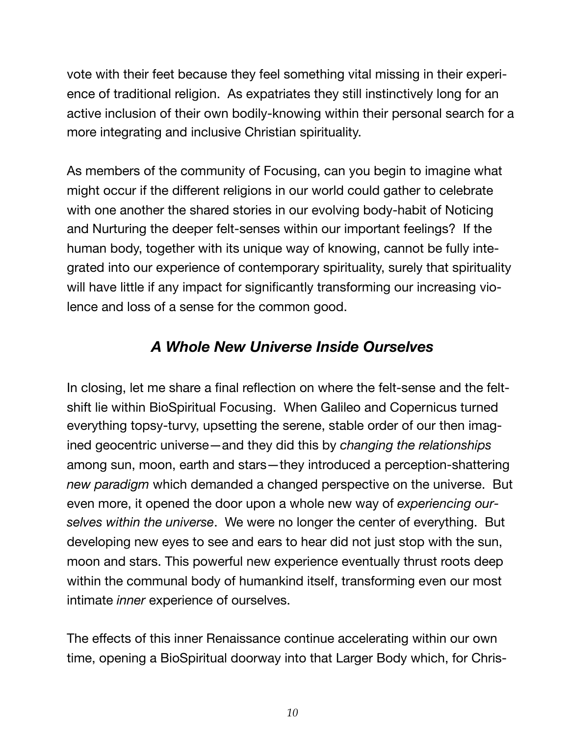vote with their feet because they feel something vital missing in their experience of traditional religion. As expatriates they still instinctively long for an active inclusion of their own bodily-knowing within their personal search for a more integrating and inclusive Christian spirituality.

As members of the community of Focusing, can you begin to imagine what might occur if the different religions in our world could gather to celebrate with one another the shared stories in our evolving body-habit of Noticing and Nurturing the deeper felt-senses within our important feelings? If the human body, together with its unique way of knowing, cannot be fully integrated into our experience of contemporary spirituality, surely that spirituality will have little if any impact for significantly transforming our increasing violence and loss of a sense for the common good.

#### *A Whole New Universe Inside Ourselves*

In closing, let me share a final reflection on where the felt-sense and the feltshift lie within BioSpiritual Focusing. When Galileo and Copernicus turned everything topsy-turvy, upsetting the serene, stable order of our then imagined geocentric universe—and they did this by *changing the relationships*  among sun, moon, earth and stars—they introduced a perception-shattering *new paradigm* which demanded a changed perspective on the universe. But even more, it opened the door upon a whole new way of *experiencing ourselves within the universe*. We were no longer the center of everything. But developing new eyes to see and ears to hear did not just stop with the sun, moon and stars. This powerful new experience eventually thrust roots deep within the communal body of humankind itself, transforming even our most intimate *inner* experience of ourselves.

The effects of this inner Renaissance continue accelerating within our own time, opening a BioSpiritual doorway into that Larger Body which, for Chris